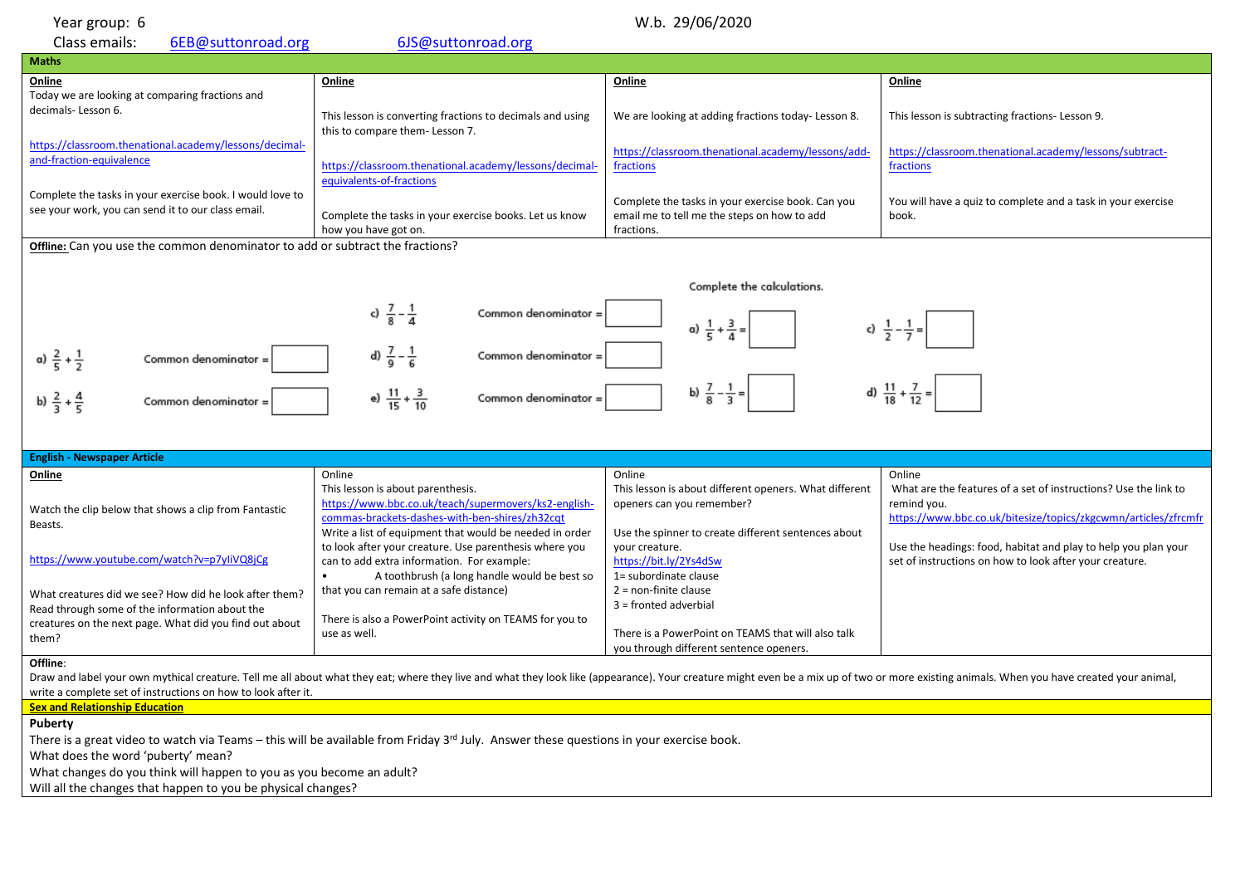| Year group: 6 |  |
|---------------|--|
|               |  |

| W.b. 29/06/2020<br>Year group: 6                                                                                                                                                                                                                                                                           |                                                                                                                                                                                                        |                                                                                                                                            |                                                                                                                                                            |  |  |
|------------------------------------------------------------------------------------------------------------------------------------------------------------------------------------------------------------------------------------------------------------------------------------------------------------|--------------------------------------------------------------------------------------------------------------------------------------------------------------------------------------------------------|--------------------------------------------------------------------------------------------------------------------------------------------|------------------------------------------------------------------------------------------------------------------------------------------------------------|--|--|
| Class emails:<br>6EB@suttonroad.org                                                                                                                                                                                                                                                                        | 6JS@suttonroad.org                                                                                                                                                                                     |                                                                                                                                            |                                                                                                                                                            |  |  |
| <b>Maths</b>                                                                                                                                                                                                                                                                                               |                                                                                                                                                                                                        |                                                                                                                                            |                                                                                                                                                            |  |  |
| Online<br>Today we are looking at comparing fractions and                                                                                                                                                                                                                                                  | Online                                                                                                                                                                                                 | Online                                                                                                                                     | Online                                                                                                                                                     |  |  |
| decimals-Lesson 6.                                                                                                                                                                                                                                                                                         | This lesson is converting fractions to decimals and using<br>this to compare them- Lesson 7.                                                                                                           | We are looking at adding fractions today-Lesson 8.                                                                                         | This lesson is subtracting fractions- Lesson 9.                                                                                                            |  |  |
| https://classroom.thenational.academy/lessons/decimal-<br>and-fraction-equivalence                                                                                                                                                                                                                         | https://classroom.thenational.academy/lessons/decimal-<br>equivalents-of-fractions                                                                                                                     | https://classroom.thenational.academy/lessons/add-<br>fractions                                                                            | https://classroom.thenational.academy/lessons/subtract-<br>fractions                                                                                       |  |  |
| Complete the tasks in your exercise book. I would love to<br>see your work, you can send it to our class email.                                                                                                                                                                                            | Complete the tasks in your exercise books. Let us know<br>how you have got on.                                                                                                                         | Complete the tasks in your exercise book. Can you<br>email me to tell me the steps on how to add<br>fractions.                             | You will have a quiz to complete and a task in your exercise<br>book.                                                                                      |  |  |
| Offline: Can you use the common denominator to add or subtract the fractions?                                                                                                                                                                                                                              |                                                                                                                                                                                                        |                                                                                                                                            |                                                                                                                                                            |  |  |
| Complete the calculations.                                                                                                                                                                                                                                                                                 |                                                                                                                                                                                                        |                                                                                                                                            |                                                                                                                                                            |  |  |
|                                                                                                                                                                                                                                                                                                            | c) $\frac{7}{8} - \frac{1}{4}$<br>Common denominator =                                                                                                                                                 | a) $\frac{1}{5} + \frac{3}{4} =$                                                                                                           |                                                                                                                                                            |  |  |
| d) $\frac{7}{9} - \frac{1}{6}$<br>Common denominator =<br>a) $\frac{2}{5} + \frac{1}{2}$<br>Common denominator =                                                                                                                                                                                           |                                                                                                                                                                                                        |                                                                                                                                            |                                                                                                                                                            |  |  |
| d) $\frac{11}{18} + \frac{7}{12} =$<br>b) $\frac{7}{8}$<br>e) $\frac{11}{15} + \frac{3}{10}$<br>b) $\frac{2}{3} + \frac{4}{5}$<br>Common denominator =<br>Common denominator =                                                                                                                             |                                                                                                                                                                                                        |                                                                                                                                            |                                                                                                                                                            |  |  |
|                                                                                                                                                                                                                                                                                                            |                                                                                                                                                                                                        |                                                                                                                                            |                                                                                                                                                            |  |  |
| <b>English - Newspaper Article</b>                                                                                                                                                                                                                                                                         | Online                                                                                                                                                                                                 | Online                                                                                                                                     |                                                                                                                                                            |  |  |
| <b>Online</b><br>Watch the clip below that shows a clip from Fantastic<br>Beasts.                                                                                                                                                                                                                          | This lesson is about parenthesis.<br>https://www.bbc.co.uk/teach/supermovers/ks2-english-<br>commas-brackets-dashes-with-ben-shires/zh32cqt<br>Write a list of equipment that would be needed in order | This lesson is about different openers. What different<br>openers can you remember?<br>Use the spinner to create different sentences about | Online<br>What are the features of a set of instructions? Use the link to<br>remind you.<br>https://www.bbc.co.uk/bitesize/topics/zkgcwmn/articles/zfrcmfr |  |  |
| https://www.youtube.com/watch?v=p7yliVQ8jCg                                                                                                                                                                                                                                                                | to look after your creature. Use parenthesis where you<br>can to add extra information. For example:<br>A toothbrush (a long handle would be best so                                                   | your creature.<br>https://bit.ly/2Ys4dSw<br>1= subordinate clause                                                                          | Use the headings: food, habitat and play to help you plan your<br>set of instructions on how to look after your creature.                                  |  |  |
| What creatures did we see? How did he look after them?<br>Read through some of the information about the                                                                                                                                                                                                   | that you can remain at a safe distance)<br>There is also a PowerPoint activity on TEAMS for you to                                                                                                     | $2$ = non-finite clause<br>$3 =$ fronted adverbial                                                                                         |                                                                                                                                                            |  |  |
| creatures on the next page. What did you find out about<br>them?                                                                                                                                                                                                                                           | use as well.                                                                                                                                                                                           | There is a PowerPoint on TEAMS that will also talk<br>you through different sentence openers.                                              |                                                                                                                                                            |  |  |
| Offline:<br>Draw and label your own mythical creature. Tell me all about what they eat; where they live and what they look like (appearance). Your creature might even be a mix up of two or more existing animals. When you have created<br>write a complete set of instructions on how to look after it. |                                                                                                                                                                                                        |                                                                                                                                            |                                                                                                                                                            |  |  |
| <b>Sex and Relationship Education</b>                                                                                                                                                                                                                                                                      |                                                                                                                                                                                                        |                                                                                                                                            |                                                                                                                                                            |  |  |
| <b>Puberty</b><br>What does the word 'puberty' mean?                                                                                                                                                                                                                                                       | There is a great video to watch via Teams - this will be available from Friday 3rd July. Answer these questions in your exercise book.                                                                 |                                                                                                                                            |                                                                                                                                                            |  |  |

What changes do you think will happen to you as you become an adult?

Will all the changes that happen to you be physical changes?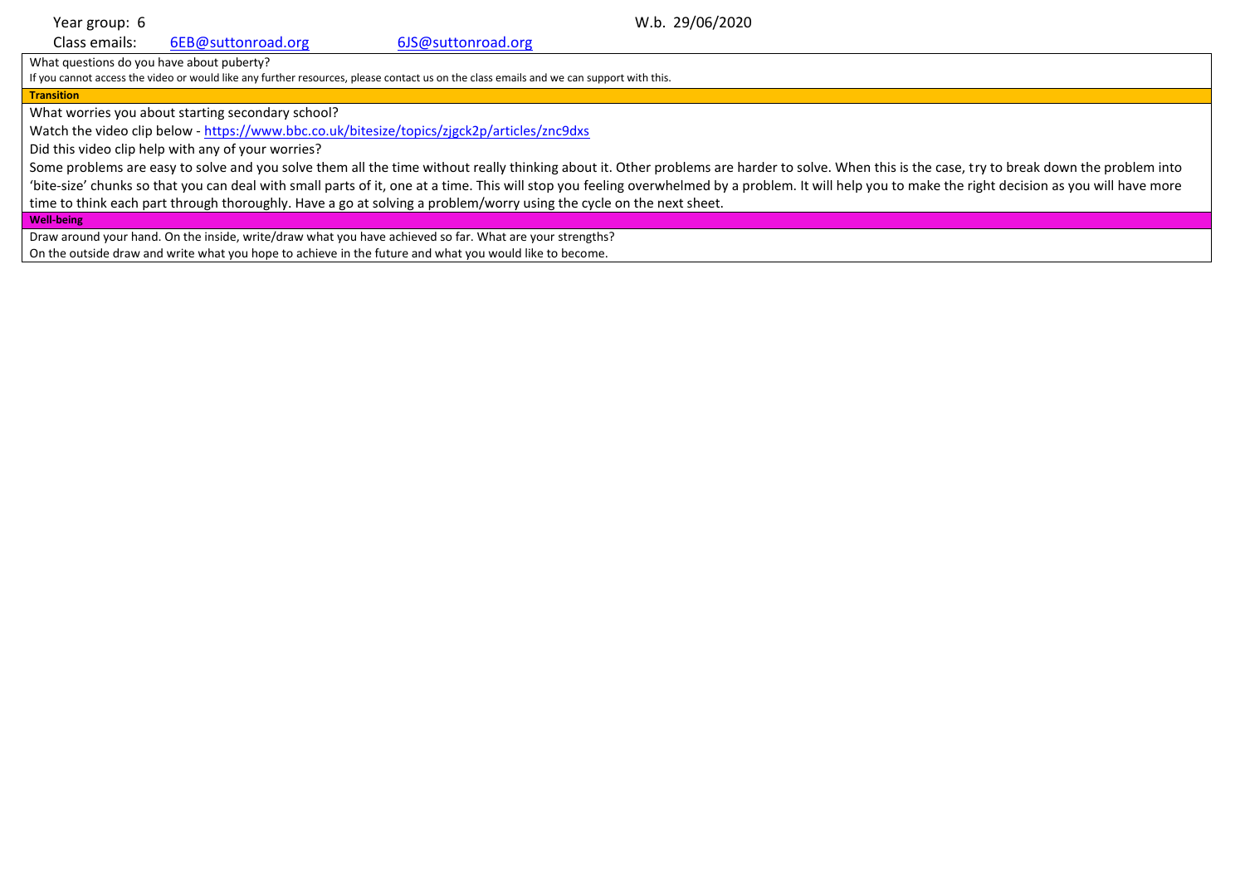Year group: 6 W.b. 29/06/2020

Class emails: [6EB@suttonroad.org](mailto:6EB@suttonroad.org) [6JS@suttonroad.org](mailto:6JS@suttonroad.org)

What questions do you have about puberty?

If you cannot access the video or would like any further resources, please contact us on the class emails and we can support with this.

**Transition**

What worries you about starting secondary school?

Watch the video clip below - <https://www.bbc.co.uk/bitesize/topics/zjgck2p/articles/znc9dxs>

Did this video clip help with any of your worries?

Some problems are easy to solve and you solve them all the time without really thinking about it. Other problems are harder to solve. When this is the case, try to break down the problem into 'bite-size' chunks so that you can deal with small parts of it, one at a time. This will stop you feeling overwhelmed by a problem. It will help you to make the right decision as you will have more time to think each part through thoroughly. Have a go at solving a problem/worry using the cycle on the next sheet.

**Well-being** 

Draw around your hand. On the inside, write/draw what you have achieved so far. What are your strengths? On the outside draw and write what you hope to achieve in the future and what you would like to become.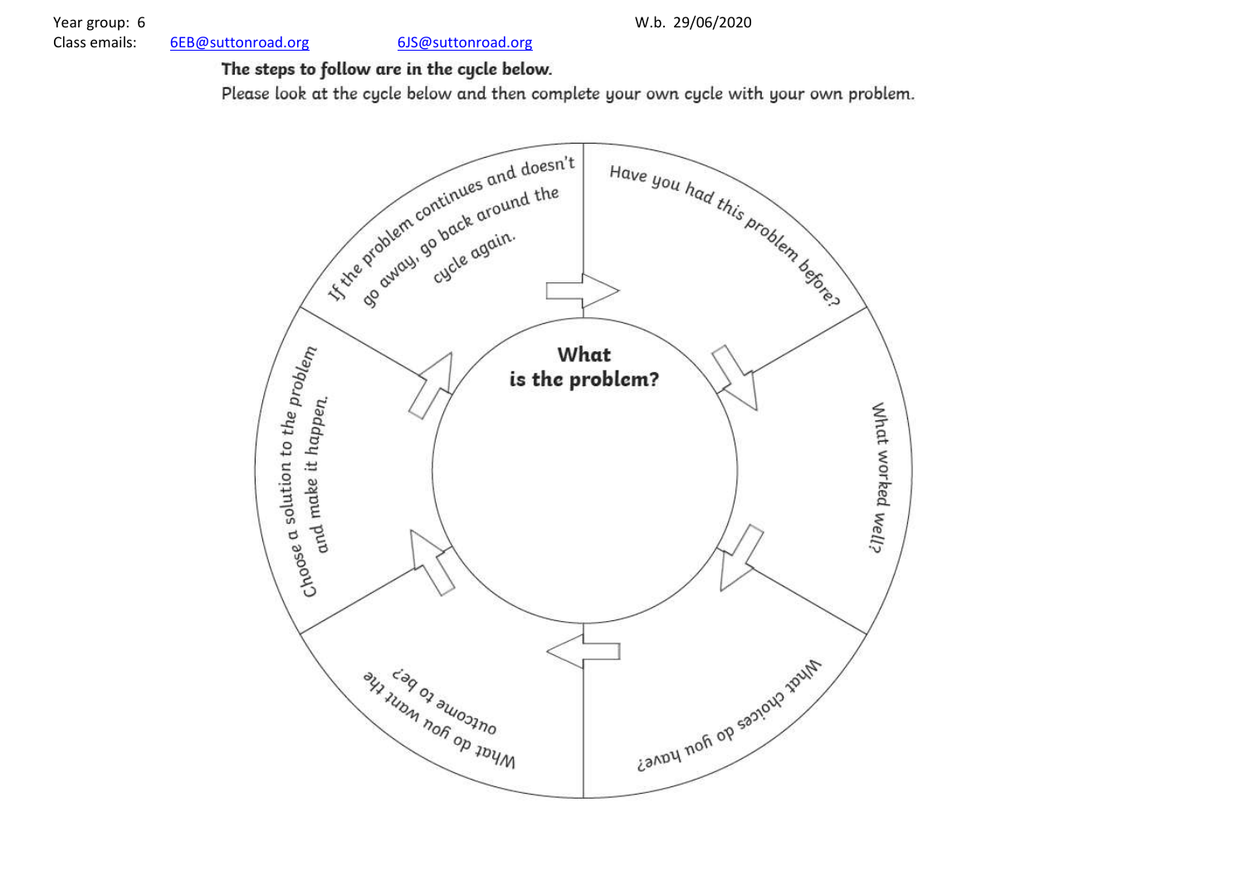$6$  W.b. [6EB@suttonroad.org](mailto:6EB@suttonroad.org) [6JS@suttonroad.org](mailto:6JS@suttonroad.org)

2 9/06/2020

# The steps to follow are in the cycle below.

Please look at the cycle below and then complete your own cycle with your own problem.

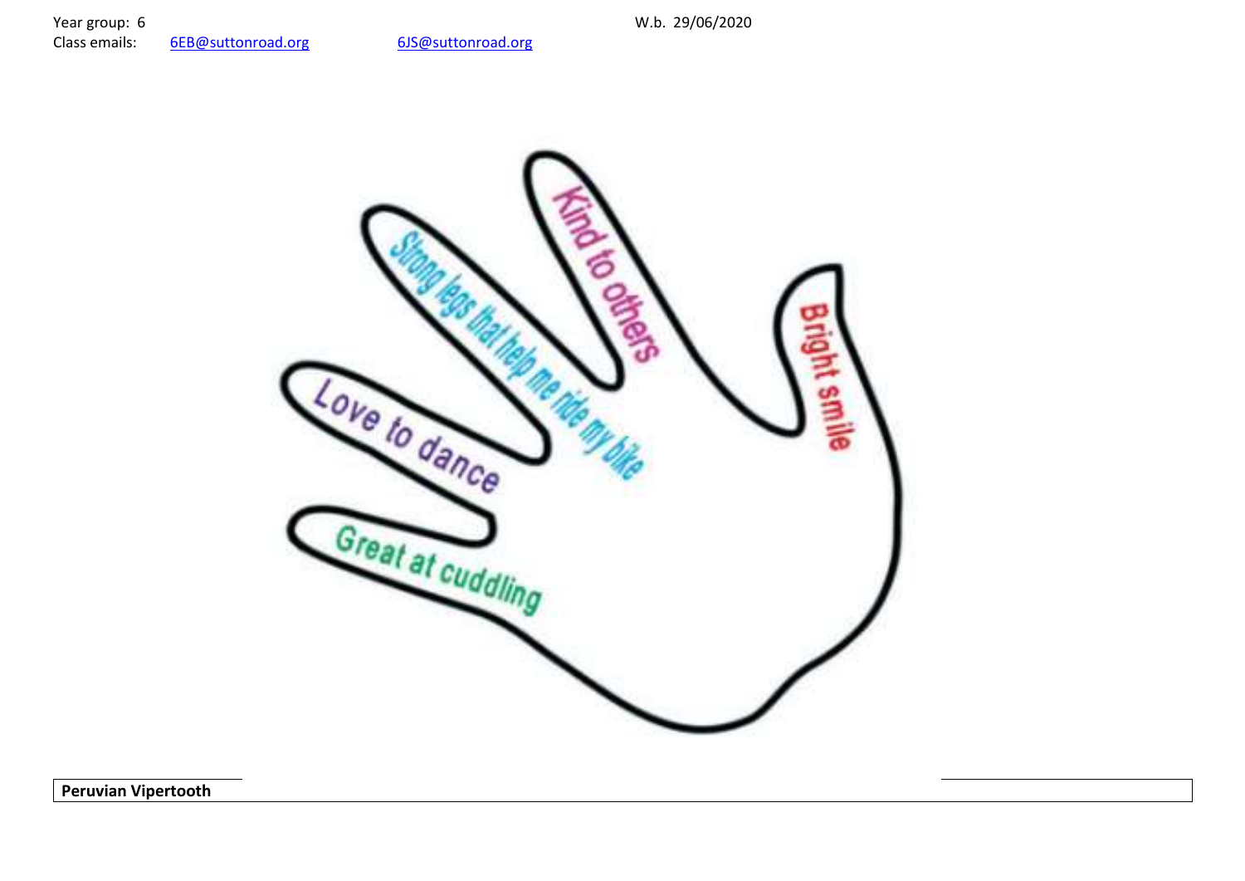Year group: 6<br>
Class emails: 6EB@suttonroad.org 6JS@suttonroad.org W.b. 29/06/2020 6EB@suttonroad.org



**Peruvian Vipertooth**